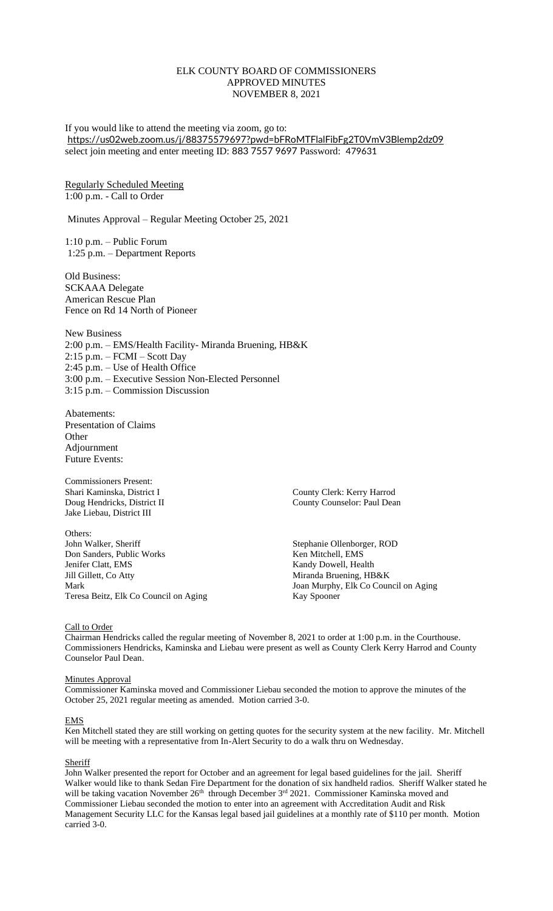# ELK COUNTY BOARD OF COMMISSIONERS APPROVED MINUTES NOVEMBER 8, 2021

If you would like to attend the meeting via zoom, go to: <https://us02web.zoom.us/j/88375579697?pwd=bFRoMTFlalFibFg2T0VmV3Blemp2dz09> select join meeting and enter meeting ID: 883 7557 9697 Password: 479631

# Regularly Scheduled Meeting 1:00 p.m. - Call to Order

Minutes Approval – Regular Meeting October 25, 2021

1:10 p.m. – Public Forum 1:25 p.m. – Department Reports

Old Business: SCKAAA Delegate American Rescue Plan Fence on Rd 14 North of Pioneer

New Business 2:00 p.m. – EMS/Health Facility- Miranda Bruening, HB&K 2:15 p.m. – FCMI – Scott Day 2:45 p.m. – Use of Health Office 3:00 p.m. – Executive Session Non-Elected Personnel 3:15 p.m. – Commission Discussion

Abatements: Presentation of Claims **Other** Adjournment Future Events:

Commissioners Present: Shari Kaminska, District I County Clerk: Kerry Harrod Jake Liebau, District III

Others:<br>John Walker, Sheriff Don Sanders, Public Works Jenifer Clatt, EMS Kandy Dowell, Health Mark Joan Murphy, Elk Co Council on Aging Teresa Beitz, Elk Co Council on Aging Kay Spooner

Doug Hendricks, District II County Counselor: Paul Dean

Stephanie Ollenborger, ROD<br>Ken Mitchell, EMS Miranda Bruening, HB&K

#### Call to Order

Chairman Hendricks called the regular meeting of November 8, 2021 to order at 1:00 p.m. in the Courthouse. Commissioners Hendricks, Kaminska and Liebau were present as well as County Clerk Kerry Harrod and County Counselor Paul Dean.

## Minutes Approval

Commissioner Kaminska moved and Commissioner Liebau seconded the motion to approve the minutes of the October 25, 2021 regular meeting as amended. Motion carried 3-0.

#### EMS

Ken Mitchell stated they are still working on getting quotes for the security system at the new facility. Mr. Mitchell will be meeting with a representative from In-Alert Security to do a walk thru on Wednesday.

#### Sheriff

John Walker presented the report for October and an agreement for legal based guidelines for the jail. Sheriff Walker would like to thank Sedan Fire Department for the donation of six handheld radios. Sheriff Walker stated he will be taking vacation November 26<sup>th</sup> through December 3<sup>rd</sup> 2021. Commissioner Kaminska moved and Commissioner Liebau seconded the motion to enter into an agreement with Accreditation Audit and Risk Management Security LLC for the Kansas legal based jail guidelines at a monthly rate of \$110 per month. Motion carried 3-0.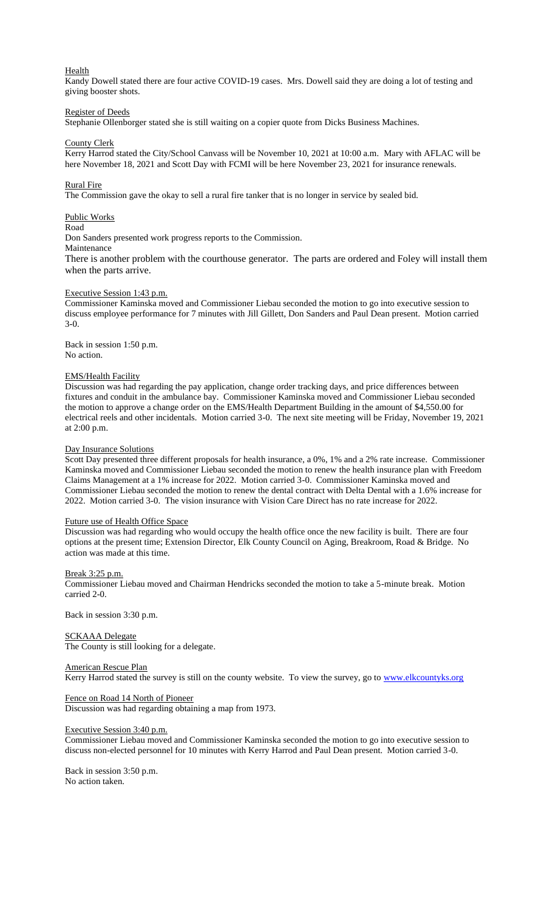## Health

Kandy Dowell stated there are four active COVID-19 cases. Mrs. Dowell said they are doing a lot of testing and giving booster shots.

# Register of Deeds

Stephanie Ollenborger stated she is still waiting on a copier quote from Dicks Business Machines.

## County Clerk

Kerry Harrod stated the City/School Canvass will be November 10, 2021 at 10:00 a.m. Mary with AFLAC will be here November 18, 2021 and Scott Day with FCMI will be here November 23, 2021 for insurance renewals.

### Rural Fire

The Commission gave the okay to sell a rural fire tanker that is no longer in service by sealed bid.

## Public Works

Road

Don Sanders presented work progress reports to the Commission.

Maintenance

There is another problem with the courthouse generator. The parts are ordered and Foley will install them when the parts arrive.

### Executive Session 1:43 p.m.

Commissioner Kaminska moved and Commissioner Liebau seconded the motion to go into executive session to discuss employee performance for 7 minutes with Jill Gillett, Don Sanders and Paul Dean present. Motion carried 3-0.

Back in session 1:50 p.m. No action.

## EMS/Health Facility

Discussion was had regarding the pay application, change order tracking days, and price differences between fixtures and conduit in the ambulance bay. Commissioner Kaminska moved and Commissioner Liebau seconded the motion to approve a change order on the EMS/Health Department Building in the amount of \$4,550.00 for electrical reels and other incidentals. Motion carried 3-0. The next site meeting will be Friday, November 19, 2021 at 2:00 p.m.

#### Day Insurance Solutions

Scott Day presented three different proposals for health insurance, a 0%, 1% and a 2% rate increase. Commissioner Kaminska moved and Commissioner Liebau seconded the motion to renew the health insurance plan with Freedom Claims Management at a 1% increase for 2022. Motion carried 3-0. Commissioner Kaminska moved and Commissioner Liebau seconded the motion to renew the dental contract with Delta Dental with a 1.6% increase for 2022. Motion carried 3-0. The vision insurance with Vision Care Direct has no rate increase for 2022.

#### Future use of Health Office Space

Discussion was had regarding who would occupy the health office once the new facility is built. There are four options at the present time; Extension Director, Elk County Council on Aging, Breakroom, Road & Bridge. No action was made at this time.

#### Break 3:25 p.m.

Commissioner Liebau moved and Chairman Hendricks seconded the motion to take a 5-minute break. Motion carried 2-0.

Back in session 3:30 p.m.

### SCKAAA Delegate

The County is still looking for a delegate.

## American Rescue Plan

Kerry Harrod stated the survey is still on the county website. To view the survey, go to [www.elkcountyks.org](http://www.elkcountyks.org/)

#### Fence on Road 14 North of Pioneer

Discussion was had regarding obtaining a map from 1973.

#### Executive Session 3:40 p.m.

Commissioner Liebau moved and Commissioner Kaminska seconded the motion to go into executive session to discuss non-elected personnel for 10 minutes with Kerry Harrod and Paul Dean present. Motion carried 3-0.

Back in session 3:50 p.m. No action taken.